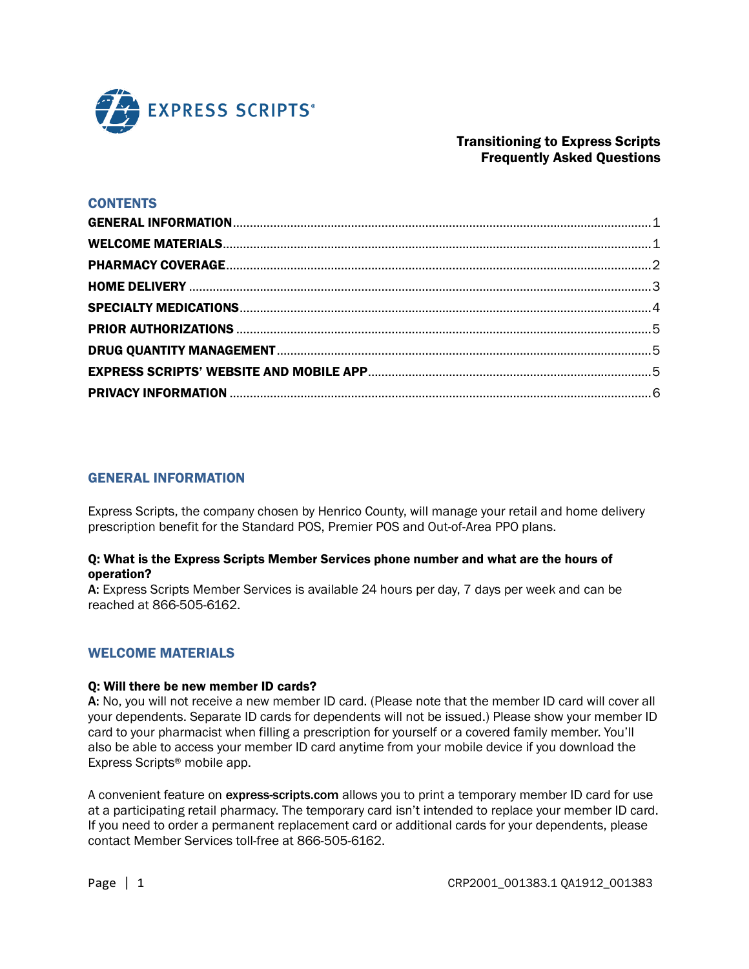

# Transitioning to Express Scripts Frequently Asked Questions

### **CONTENTS**

### <span id="page-0-0"></span>GENERAL INFORMATION

Express Scripts, the company chosen by Henrico County, will manage your retail and home delivery prescription benefit for the Standard POS, Premier POS and Out-of-Area PPO plans.

#### Q: What is the Express Scripts Member Services phone number and what are the hours of operation?

A: Express Scripts Member Services is available 24 hours per day, 7 days per week and can be reached at 866-505-6162.

### <span id="page-0-1"></span>WELCOME MATERIALS

#### Q: Will there be new member ID cards?

A: No, you will not receive a new member ID card. (Please note that the member ID card will cover all your dependents. Separate ID cards for dependents will not be issued.) Please show your member ID card to your pharmacist when filling a prescription for yourself or a covered family member. You'll also be able to access your member ID card anytime from your mobile device if you download the Express Scripts® mobile app.

A convenient feature on express-scripts.com allows you to print a temporary member ID card for use at a participating retail pharmacy. The temporary card isn't intended to replace your member ID card. If you need to order a permanent replacement card or additional cards for your dependents, please contact Member Services toll-free at 866-505-6162.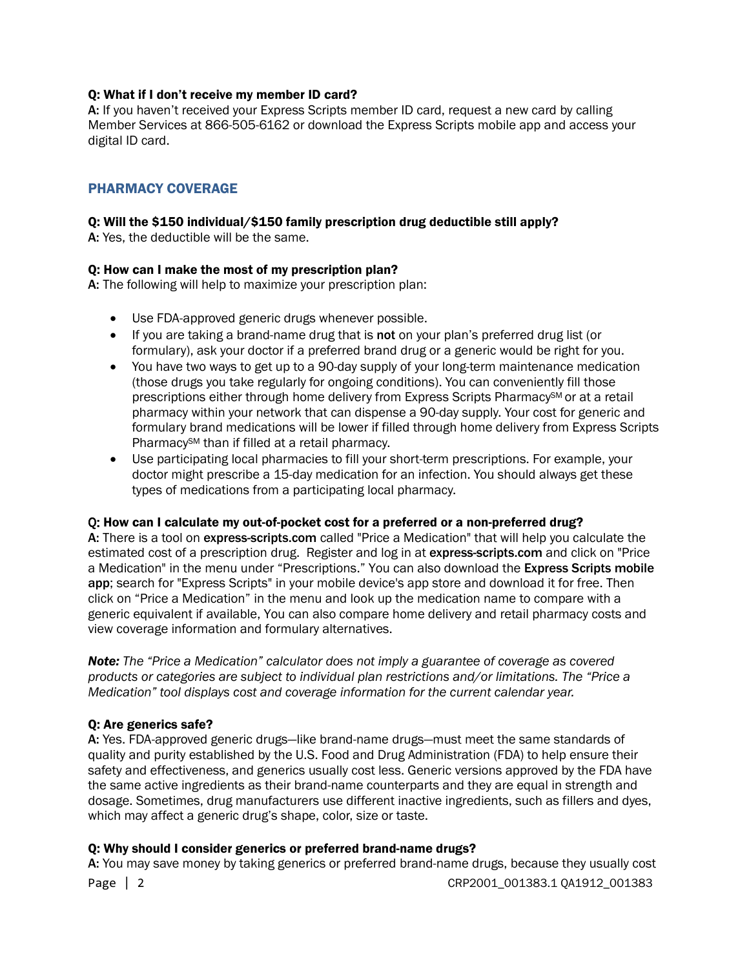### Q: What if I don't receive my member ID card?

A: If you haven't received your Express Scripts member ID card, request a new card by calling Member Services at 866-505-6162 or download the Express Scripts mobile app and access your digital ID card.

# <span id="page-1-0"></span>PHARMACY COVERAGE

## Q: Will the \$150 individual/\$150 family prescription drug deductible still apply?

A: Yes, the deductible will be the same.

## Q: How can I make the most of my prescription plan?

A: The following will help to maximize your prescription plan:

- Use FDA-approved generic drugs whenever possible.
- If you are taking a brand-name drug that is not on your plan's preferred drug list (or formulary), ask your doctor if a preferred brand drug or a generic would be right for you.
- You have two ways to get up to a 90-day supply of your long-term maintenance medication (those drugs you take regularly for ongoing conditions). You can conveniently fill those prescriptions either through home delivery from Express Scripts Pharmacy<sup>SM</sup> or at a retail pharmacy within your network that can dispense a 90-day supply. Your cost for generic and formulary brand medications will be lower if filled through home delivery from Express Scripts Pharmacy<sup>SM</sup> than if filled at a retail pharmacy.
- Use participating local pharmacies to fill your short-term prescriptions. For example, your doctor might prescribe a 15-day medication for an infection. You should always get these types of medications from a participating local pharmacy.

### Q: How can I calculate my out-of-pocket cost for a preferred or a non-preferred drug?

A: There is a tool on express-scripts.com called "Price a Medication" that will help you calculate the estimated cost of a prescription drug. Register and log in at express-scripts.com and click on "Price" a Medication" in the menu under "Prescriptions." You can also download the Express Scripts mobile app; search for "Express Scripts" in your mobile device's app store and download it for free. Then click on "Price a Medication" in the menu and look up the medication name to compare with a generic equivalent if available, You can also compare home delivery and retail pharmacy costs and view coverage information and formulary alternatives.

*Note: The "Price a Medication" calculator does not imply a guarantee of coverage as covered products or categories are subject to individual plan restrictions and/or limitations. The "Price a Medication" tool displays cost and coverage information for the current calendar year.* 

### Q: Are generics safe?

A: Yes. FDA-approved generic drugs—like brand-name drugs—must meet the same standards of quality and purity established by the U.S. Food and Drug Administration (FDA) to help ensure their safety and effectiveness, and generics usually cost less. Generic versions approved by the FDA have the same active ingredients as their brand-name counterparts and they are equal in strength and dosage. Sometimes, drug manufacturers use different inactive ingredients, such as fillers and dyes, which may affect a generic drug's shape, color, size or taste.

### Q: Why should I consider generics or preferred brand-name drugs?

Page | 2 CRP2001\_001383.1 QA1912\_001383 A: You may save money by taking generics or preferred brand-name drugs, because they usually cost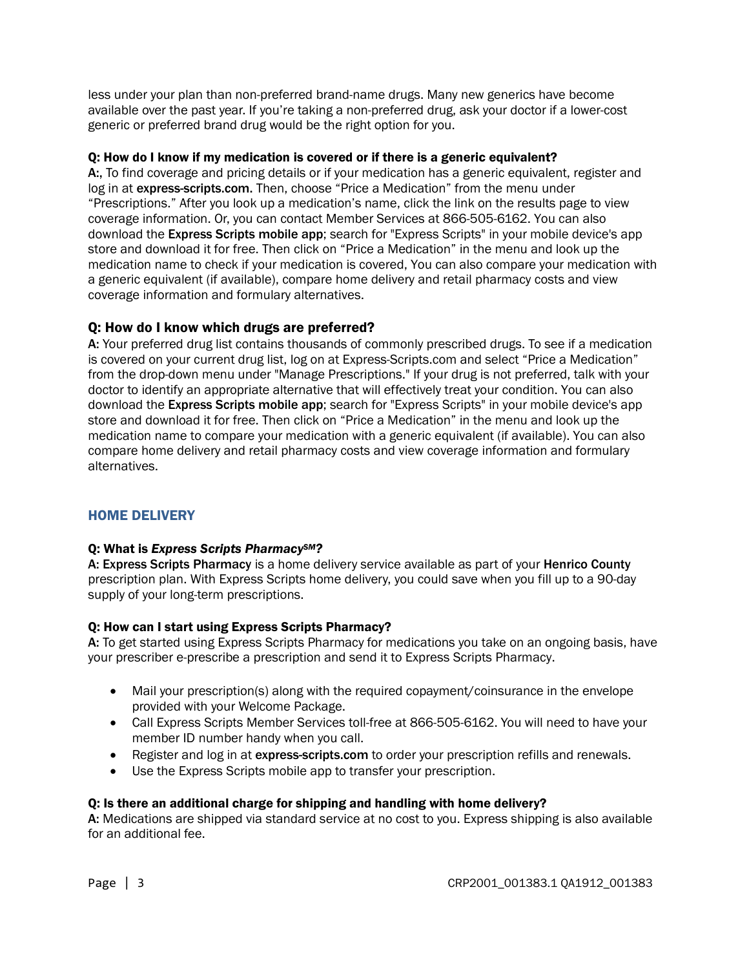less under your plan than non-preferred brand-name drugs. Many new generics have become available over the past year. If you're taking a non-preferred drug, ask your doctor if a lower-cost generic or preferred brand drug would be the right option for you.

### Q: How do I know if my medication is covered or if there is a generic equivalent?

A:, To find coverage and pricing details or if your medication has a generic equivalent, register and log in at express-scripts.com. Then, choose "Price a Medication" from the menu under "Prescriptions." After you look up a medication's name, click the link on the results page to view coverage information. Or, you can contact Member Services at 866-505-6162. You can also download the Express Scripts mobile app; search for "Express Scripts" in your mobile device's app store and download it for free. Then click on "Price a Medication" in the menu and look up the medication name to check if your medication is covered, You can also compare your medication with a generic equivalent (if available), compare home delivery and retail pharmacy costs and view coverage information and formulary alternatives.

# Q: How do I know which drugs are preferred?

A: Your preferred drug list contains thousands of commonly prescribed drugs. To see if a medication is covered on your current drug list, log on at Express-Scripts.com and select "Price a Medication" from the drop-down menu under "Manage Prescriptions." If your drug is not preferred, talk with your doctor to identify an appropriate alternative that will effectively treat your condition. You can also download the Express Scripts mobile app; search for "Express Scripts" in your mobile device's app store and download it for free. Then click on "Price a Medication" in the menu and look up the medication name to compare your medication with a generic equivalent (if available). You can also compare home delivery and retail pharmacy costs and view coverage information and formulary alternatives.

# <span id="page-2-0"></span>HOME DELIVERY

## Q: What is *Express Scripts PharmacySM?*

A: Express Scripts Pharmacy is a home delivery service available as part of your Henrico County prescription plan. With Express Scripts home delivery, you could save when you fill up to a 90-day supply of your long-term prescriptions.

## Q: How can I start using Express Scripts Pharmacy?

A: To get started using Express Scripts Pharmacy for medications you take on an ongoing basis, have your prescriber e-prescribe a prescription and send it to Express Scripts Pharmacy.

- Mail your prescription(s) along with the required copayment/coinsurance in the envelope provided with your Welcome Package.
- Call Express Scripts Member Services toll-free at 866-505-6162. You will need to have your member ID number handy when you call.
- Register and log in at express-scripts.com to order your prescription refills and renewals.
- Use the Express Scripts mobile app to transfer your prescription.

### Q: Is there an additional charge for shipping and handling with home delivery?

A: Medications are shipped via standard service at no cost to you. Express shipping is also available for an additional fee.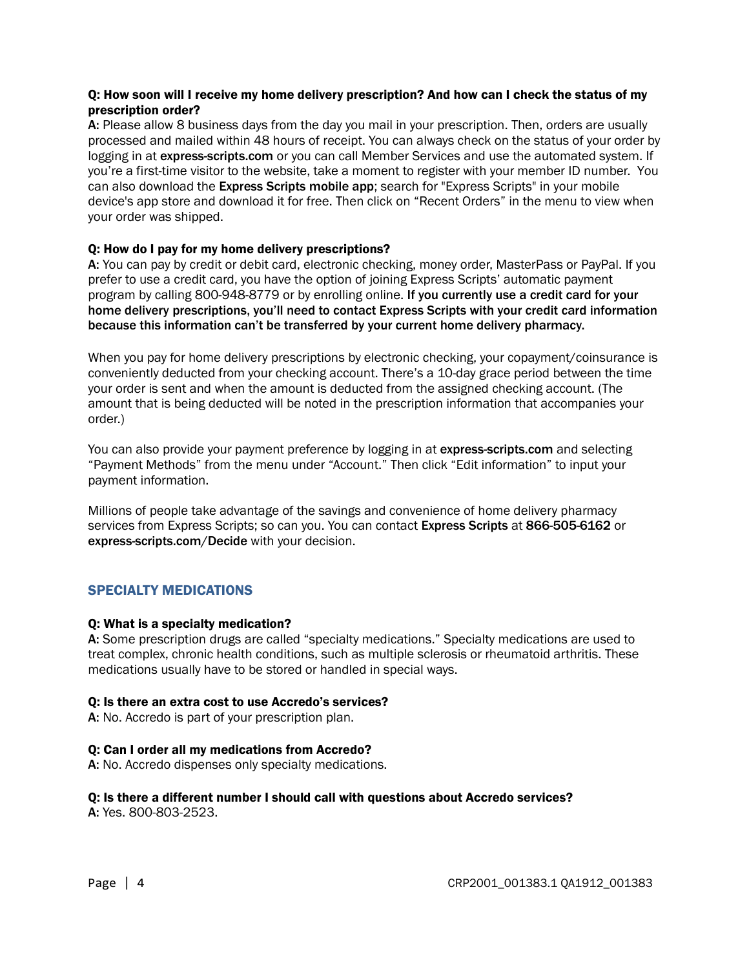## Q: How soon will I receive my home delivery prescription? And how can I check the status of my prescription order?

A: Please allow 8 business days from the day you mail in your prescription. Then, orders are usually processed and mailed within 48 hours of receipt. You can always check on the status of your order by logging in at express-scripts.com or you can call Member Services and use the automated system. If you're a first-time visitor to the website, take a moment to register with your member ID number. You can also download the Express Scripts mobile app; search for "Express Scripts" in your mobile device's app store and download it for free. Then click on "Recent Orders" in the menu to view when your order was shipped.

## Q: How do I pay for my home delivery prescriptions?

A: You can pay by credit or debit card, electronic checking, money order, MasterPass or PayPal. If you prefer to use a credit card, you have the option of joining Express Scripts' automatic payment program by calling 800-948-8779 or by enrolling online. If you currently use a credit card for your home delivery prescriptions, you'll need to contact Express Scripts with your credit card information because this information can't be transferred by your current home delivery pharmacy.

When you pay for home delivery prescriptions by electronic checking, your copayment/coinsurance is conveniently deducted from your checking account. There's a 10-day grace period between the time your order is sent and when the amount is deducted from the assigned checking account. (The amount that is being deducted will be noted in the prescription information that accompanies your order.)

You can also provide your payment preference by logging in at express-scripts.com and selecting "Payment Methods" from the menu under "Account." Then click "Edit information" to input your payment information.

Millions of people take advantage of the savings and convenience of home delivery pharmacy services from Express Scripts; so can you. You can contact Express Scripts at 866-505-6162 or express-scripts.com/Decide with your decision.

## <span id="page-3-0"></span>SPECIALTY MEDICATIONS

### Q: What is a specialty medication?

A: Some prescription drugs are called "specialty medications." Specialty medications are used to treat complex, chronic health conditions, such as multiple sclerosis or rheumatoid arthritis. These medications usually have to be stored or handled in special ways.

### Q: Is there an extra cost to use Accredo's services?

A: No. Accredo is part of your prescription plan.

### Q: Can I order all my medications from Accredo?

A: No. Accredo dispenses only specialty medications.

#### Q: Is there a different number I should call with questions about Accredo services? A: Yes. 800-803-2523.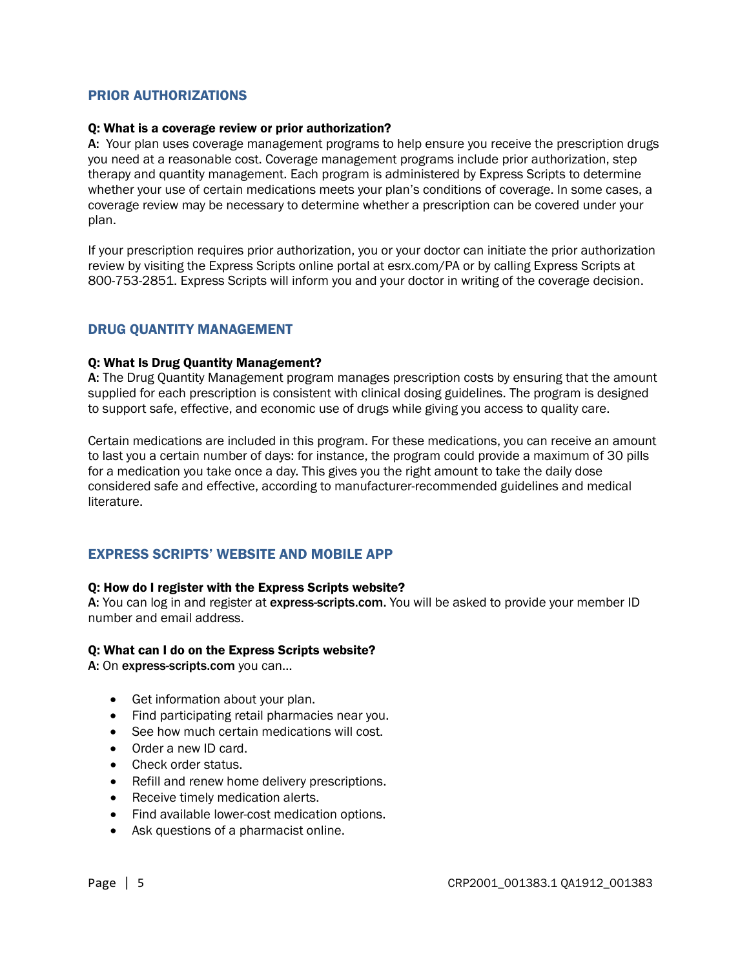## <span id="page-4-0"></span>PRIOR AUTHORIZATIONS

#### Q: What is a coverage review or prior authorization?

A: Your plan uses coverage management programs to help ensure you receive the prescription drugs you need at a reasonable cost. Coverage management programs include prior authorization, step therapy and quantity management. Each program is administered by Express Scripts to determine whether your use of certain medications meets your plan's conditions of coverage. In some cases, a coverage review may be necessary to determine whether a prescription can be covered under your plan.

If your prescription requires prior authorization, you or your doctor can initiate the prior authorization review by visiting the Express Scripts online portal at esrx.com/PA or by calling Express Scripts at 800-753-2851. Express Scripts will inform you and your doctor in writing of the coverage decision.

### <span id="page-4-1"></span>DRUG QUANTITY MANAGEMENT

#### Q: What Is Drug Quantity Management?

A: The Drug Quantity Management program manages prescription costs by ensuring that the amount supplied for each prescription is consistent with clinical dosing guidelines. The program is designed to support safe, effective, and economic use of drugs while giving you access to quality care.

Certain medications are included in this program. For these medications, you can receive an amount to last you a certain number of days: for instance, the program could provide a maximum of 30 pills for a medication you take once a day. This gives you the right amount to take the daily dose considered safe and effective, according to manufacturer-recommended guidelines and medical literature.

### <span id="page-4-2"></span>EXPRESS SCRIPTS' WEBSITE AND MOBILE APP

#### Q: How do I register with the Express Scripts website?

A: You can log in and register at express-scripts.com. You will be asked to provide your member ID number and email address.

#### Q: What can I do on the Express Scripts website?

A: On express-scripts.com you can…

- Get information about your plan.
- Find participating retail pharmacies near you.
- See how much certain medications will cost.
- Order a new ID card.
- Check order status.
- Refill and renew home delivery prescriptions.
- Receive timely medication alerts.
- Find available lower-cost medication options.
- Ask questions of a pharmacist online.